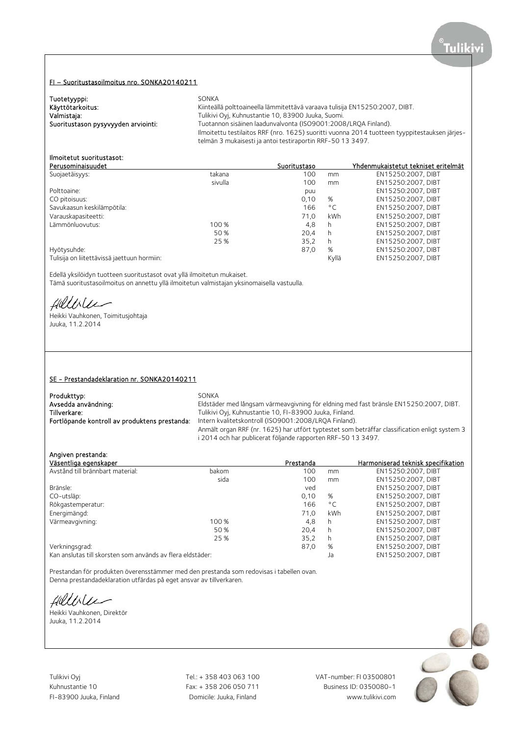# FI – Suoritustasoilmoitus nro. SONKA20140211

| Tuotetyyppi:                        | SONKA                                                                                         |
|-------------------------------------|-----------------------------------------------------------------------------------------------|
| Käyttötarkoitus:                    | Kiinteällä polttoaineella lämmitettävä varaava tulisija EN15250:2007, DIBT.                   |
| Valmistaja:                         | Tulikivi Oyi, Kuhnustantie 10, 83900 Juuka, Suomi.                                            |
| Suoritustason pysyvyyden arviointi: | Tuotannon sisäinen laadunvalvonta (ISO9001:2008/LROA Finland).                                |
|                                     | Ilmoitettu testilaitos RRF (nro. 1625) suoritti vuonna 2014 tuotteen tyyppitestauksen järjes- |
|                                     | telmän 3 mukaisesti ja antoi testiraportin RRF-50 13 3497.                                    |

# Ilmoitetut suoritustasot:

| Perusominaisuudet                           |         | Suoritustaso |              | Yhdenmukaistetut tekniset eritelmät |
|---------------------------------------------|---------|--------------|--------------|-------------------------------------|
| Suojaetäisyys:                              | takana  | 100          | mm           | EN15250:2007, DIBT                  |
|                                             | sivulla | 100          | mm           | EN15250:2007, DIBT                  |
| Polttoaine:                                 |         | puu          |              | EN15250:2007, DIBT                  |
| CO pitoisuus:                               |         | 0,10         | %            | EN15250:2007, DIBT                  |
| Savukaasun keskilämpötila:                  |         | 166          | $^{\circ}$ C | EN15250:2007, DIBT                  |
| Varauskapasiteetti:                         |         | 71.0         | kWh          | EN15250:2007. DIBT                  |
| Lämmönluovutus:                             | 100 %   | 4,8          | h            | EN15250:2007, DIBT                  |
|                                             | 50 %    | 20.4         | h            | EN15250:2007. DIBT                  |
|                                             | 25 %    | 35.2         | h            | EN15250:2007. DIBT                  |
| Hyötysuhde:                                 |         | 87,0         | %            | EN15250:2007, DIBT                  |
| Tulisija on liitettävissä jaettuun hormiin: |         |              | Kyllä        | EN15250:2007. DIBT                  |
|                                             |         |              |              |                                     |

Edellä yksilöidyn tuotteen suoritustasot ovat yllä ilmoitetun mukaiset.

Tämä suoritustasoilmoitus on annettu yllä ilmoitetun valmistajan yksinomaisella vastuulla.

fillble

Heikki Vauhkonen, Toimitusjohtaja Juuka, 11.2.2014

#### SE - Prestandadeklaration nr. SONKA20140211

| Produkttyp:                                   | SONKA                                                                                         |
|-----------------------------------------------|-----------------------------------------------------------------------------------------------|
| Avsedda användning:                           | Eldstäder med långsam värmeavgivning för eldning med fast bränsle EN15250:2007, DIBT.         |
| Tillverkare:                                  | Tulikivi Oyj, Kuhnustantie 10, FI-83900 Juuka, Finland.                                       |
| Fortlöpande kontroll av produktens prestanda: | Intern kvalitetskontroll (ISO9001:2008/LRQA Finland).                                         |
|                                               | Anmält organ RRF (nr. 1625) har utfört typtestet som beträffar classification enligt system 3 |
|                                               | i 2014 och har publicerat följande rapporten RRF-50 13 3497.                                  |

# Angiven prestanda:

| Väsentliga egenskaper                                      |       | Prestanda |              | Harmoniserad teknisk specifikation |
|------------------------------------------------------------|-------|-----------|--------------|------------------------------------|
| Avstånd till brännbart material:                           | bakom | 100       | mm           | EN15250:2007, DIBT                 |
|                                                            | sida  | 100       | mm           | EN15250:2007. DIBT                 |
| Bränsle:                                                   |       | ved       |              | EN15250:2007. DIBT                 |
| CO-utsläp:                                                 |       | 0.10      | %            | EN15250:2007, DIBT                 |
| Rökgastemperatur:                                          |       | 166       | $^{\circ}$ C | EN15250:2007. DIBT                 |
| Energimängd:                                               |       | 71.0      | kWh          | EN15250:2007, DIBT                 |
| Värmeavgivning:                                            | 100 % | 4,8       | h            | EN15250:2007, DIBT                 |
|                                                            | 50 %  | 20.4      | h            | EN15250:2007, DIBT                 |
|                                                            | 25 %  | 35,2      | h            | EN15250:2007, DIBT                 |
| Verkningsgrad:                                             |       | 87,0      | %            | EN15250:2007, DIBT                 |
| Kan anslutas till skorsten som används av flera eldstäder: |       |           | Ja           | EN15250:2007, DIBT                 |

Prestandan för produkten överensstämmer med den prestanda som redovisas i tabellen ovan. Denna prestandadeklaration utfärdas på eget ansvar av tillverkaren.

fillble

Heikki Vauhkonen, Direktör Juuka, 11.2.2014

Tulikivi Oyj Tel.: + 358 403 063 100 VAT-number: FI 03500801 Kuhnustantie 10 Fax: + 358 206 050 711

FI-83900 Juuka, Finland Domicile: Juuka, Finland www.tulikivi.com

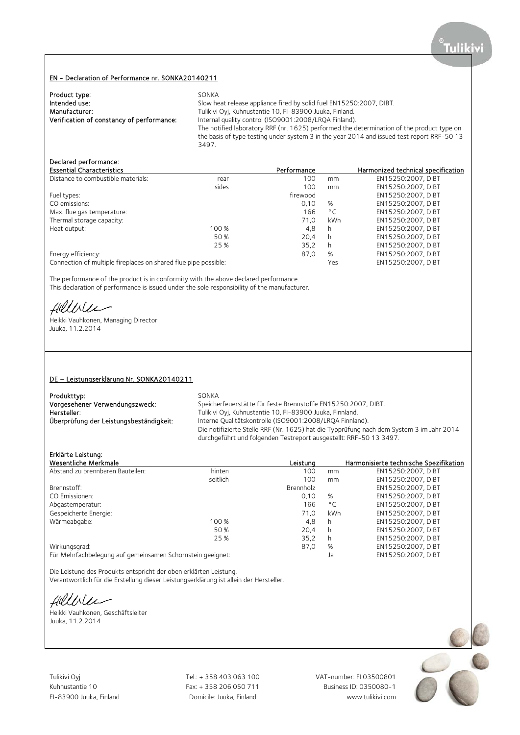#### EN - Declaration of Performance nr. SONKA20140211

| Product type:                             | SONKA                                                                                      |
|-------------------------------------------|--------------------------------------------------------------------------------------------|
| Intended use:                             | Slow heat release appliance fired by solid fuel EN15250:2007, DIBT.                        |
| Manufacturer:                             | Tulikivi Oyj, Kuhnustantie 10, FI-83900 Juuka, Finland.                                    |
| Verification of constancy of performance: | Internal quality control (ISO9001:2008/LRQA Finland).                                      |
|                                           | The notified laboratory RRF (nr. 1625) performed the determination of the product type on  |
|                                           | the basis of type testing under system 3 in the year 2014 and issued test report RRF-50 13 |
|                                           | 3497.                                                                                      |

### Declared performance:

| <b>Essential Characteristics</b>                                |       | Performance |              | Harmonized technical specification |
|-----------------------------------------------------------------|-------|-------------|--------------|------------------------------------|
| Distance to combustible materials:                              | rear  | 100         | mm           | EN15250:2007. DIBT                 |
|                                                                 | sides | 100         | mm           | EN15250:2007, DIBT                 |
| Fuel types:                                                     |       | firewood    |              | EN15250:2007, DIBT                 |
| CO emissions:                                                   |       | 0.10        | %            | EN15250:2007, DIBT                 |
| Max. flue gas temperature:                                      |       | 166         | $^{\circ}$ C | EN15250:2007, DIBT                 |
| Thermal storage capacity:                                       |       | 71.0        | kWh          | EN15250:2007. DIBT                 |
| Heat output:                                                    | 100 % | 4,8         | h            | EN15250:2007, DIBT                 |
|                                                                 | 50 %  | 20.4        | h            | EN15250:2007, DIBT                 |
|                                                                 | 25 %  | 35,2        | h            | EN15250:2007, DIBT                 |
| Energy efficiency:                                              |       | 87,0        | %            | EN15250:2007, DIBT                 |
| Connection of multiple fireplaces on shared flue pipe possible: |       |             | Yes          | EN15250:2007. DIBT                 |

The performance of the product is in conformity with the above declared performance. This declaration of performance is issued under the sole responsibility of the manufacturer.

fillilee

Heikki Vauhkonen, Managing Director Juuka, 11.2.2014

#### DE – Leistungserklärung Nr. SONKA20140211

| Produkttyp:                             | SONKA                                                                                    |
|-----------------------------------------|------------------------------------------------------------------------------------------|
| Vorgesehener Verwendungszweck:          | Speicherfeuerstätte für feste Brennstoffe EN15250:2007, DIBT.                            |
| Hersteller:                             | Tulikivi Oyj, Kuhnustantie 10, FI-83900 Juuka, Finnland.                                 |
| Überprüfung der Leistungsbeständigkeit: | Interne Qualitätskontrolle (ISO9001:2008/LRQA Finnland).                                 |
|                                         | Die notifizierte Stelle RRF (Nr. 1625) hat die Typprüfung nach dem System 3 im Jahr 2014 |
|                                         | durchgeführt und folgenden Testreport ausgestellt: RRF-50 13 3497.                       |

# Erklärte Leistung:

| Wesentliche Merkmale                                       |          | Leistung  |              | Harmonisierte technische Spezifikation |
|------------------------------------------------------------|----------|-----------|--------------|----------------------------------------|
| Abstand zu brennbaren Bauteilen:                           | hinten   | 100       | mm           | EN15250:2007, DIBT                     |
|                                                            | seitlich | 100       | mm           | EN15250:2007, DIBT                     |
| Brennstoff:                                                |          | Brennholz |              | EN15250:2007, DIBT                     |
| CO Emissionen:                                             |          | 0.10      | %            | EN15250:2007, DIBT                     |
| Abgastemperatur:                                           |          | 166       | $^{\circ}$ C | EN15250:2007. DIBT                     |
| Gespeicherte Energie:                                      |          | 71.0      | kWh          | EN15250:2007, DIBT                     |
| Wärmeabgabe:                                               | 100 %    | 4,8       | h            | EN15250:2007, DIBT                     |
|                                                            | 50 %     | 20.4      | h            | EN15250:2007. DIBT                     |
|                                                            | 25 %     | 35,2      | h            | EN15250:2007, DIBT                     |
| Wirkungsgrad:                                              |          | 87,0      | %            | EN15250:2007, DIBT                     |
| Für Mehrfachbelegung auf gemeinsamen Schornstein geeignet: |          |           | Ja           | EN15250:2007. DIBT                     |

Die Leistung des Produkts entspricht der oben erklärten Leistung. Verantwortlich für die Erstellung dieser Leistungserklärung ist allein der Hersteller.

fillble

Heikki Vauhkonen, Geschäftsleiter Juuka, 11.2.2014

Tulikivi Oyj Tel.: + 358 403 063 100 VAT-number: FI 03500801

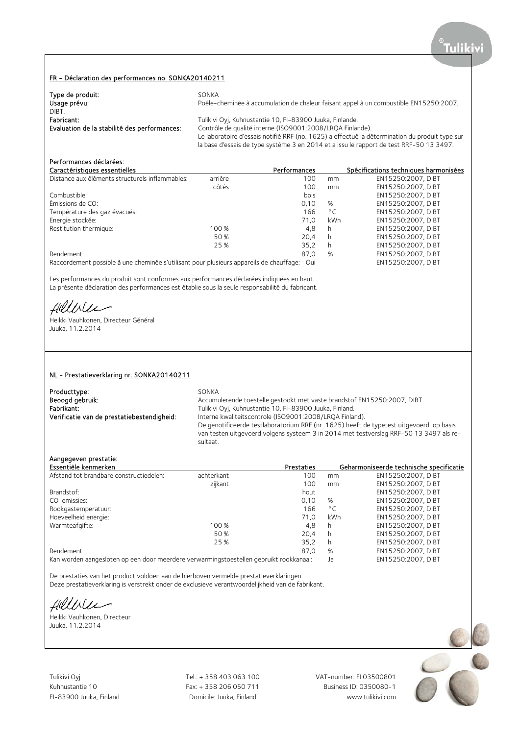#### FR - Déclaration des performances no. SONKA20140211

| Type de produit:<br>Usage prévu:<br>DIBT.    | SONKA<br>Poêle-cheminée à accumulation de chaleur faisant appel à un combustible EN15250:2007,                                                                                            |
|----------------------------------------------|-------------------------------------------------------------------------------------------------------------------------------------------------------------------------------------------|
| Fabricant:                                   | Tulikivi Oyj, Kuhnustantie 10, FI-83900 Juuka, Finlande.                                                                                                                                  |
| Evaluation de la stabilité des performances: | Contrôle de qualité interne (ISO9001:2008/LRQA Finlande).                                                                                                                                 |
|                                              | Le laboratoire d'essais notifié RRF (no. 1625) a effectué la détermination du produit type sur<br>la base d'essais de type système 3 en 2014 et a issu le rapport de test RRF-50 13 3497. |

# Performances déclarées:

| Fel I UI III di ICES decidi ees.                |         |              |              |                                       |
|-------------------------------------------------|---------|--------------|--------------|---------------------------------------|
| Caractéristiques essentielles                   |         | Performances |              | Spécifications techniques harmonisées |
| Distance aux éléments structurels inflammables: | arrière | 100          | mm           | EN15250:2007. DIBT                    |
|                                                 | côtés   | 100          | mm           | EN15250:2007, DIBT                    |
| Combustible:                                    |         | bois         |              | EN15250:2007, DIBT                    |
| Émissions de CO:                                |         | 0.10         | %            | EN15250:2007, DIBT                    |
| Température des gaz évacués:                    |         | 166          | $^{\circ}$ C | EN15250:2007, DIBT                    |
| Energie stockée:                                |         | 71.0         | kWh          | EN15250:2007. DIBT                    |
| Restitution thermique:                          | 100 %   | 4.8          | h            | EN15250:2007, DIBT                    |
|                                                 | 50 %    | 20.4         | h            | EN15250:2007, DIBT                    |
|                                                 | 25 %    | 35.2         | h            | EN15250:2007. DIBT                    |
| Rendement:                                      |         | 87,0         | %            | EN15250:2007. DIBT                    |
|                                                 |         |              |              |                                       |

Raccordement possible à une cheminée s'utilisant pour plusieurs appareils de chauffage: Oui EN15250:2007, DIBT

Les performances du produit sont conformes aux performances déclarées indiquées en haut. La présente déclaration des performances est établie sous la seule responsabilité du fabricant.

fillisee

Heikki Vauhkonen, Directeur Général Juuka, 11.2.2014

#### NL - Prestatieverklaring nr. SONKA20140211

| Producttype:                               | SONKA                                                                                   |
|--------------------------------------------|-----------------------------------------------------------------------------------------|
| Beoogd gebruik:                            | Accumulerende toestelle gestookt met vaste brandstof EN15250:2007, DIBT.                |
| Fabrikant:                                 | Tulikivi Oyj, Kuhnustantie 10, FI-83900 Juuka, Finland.                                 |
| Verificatie van de prestatiebestendigheid: | Interne kwaliteitscontrole (ISO9001:2008/LRQA Finland).                                 |
|                                            | De genotificeerde testlaboratorium RRF (nr. 1625) heeft de typetest uitgevoerd op basis |
|                                            | van testen uitgevoerd volgens systeem 3 in 2014 met testverslag RRF-50 13 3497 als re-  |
|                                            | sultaat.                                                                                |

## Aangegeven prestatie:

| Essentiële kenmerken                    |            | Prestaties |              | Geharmoniseerde technische specificatie |
|-----------------------------------------|------------|------------|--------------|-----------------------------------------|
| Afstand tot brandbare constructiedelen: | achterkant | 100        | mm           | EN15250:2007, DIBT                      |
|                                         | zijkant    | 100        | mm           | EN15250:2007, DIBT                      |
| Brandstof:                              |            | hout       |              | EN15250:2007, DIBT                      |
| CO-emissies:                            |            | 0.10       | %            | EN15250:2007, DIBT                      |
| Rookgastemperatuur:                     |            | 166        | $^{\circ}$ C | EN15250:2007. DIBT                      |
| Hoeveelheid energie:                    |            | 71.0       | kWh          | EN15250:2007, DIBT                      |
| Warmteafgifte:                          | 100 %      | 4.8        | h            | EN15250:2007, DIBT                      |
|                                         | 50 %       | 20.4       | h            | EN15250:2007, DIBT                      |
|                                         | 25 %       | 35.2       | h            | EN15250:2007. DIBT                      |
| Rendement:                              |            | 87,0       | %            | EN15250:2007, DIBT                      |

Kan worden aangesloten op een door meerdere verwarmingstoestellen gebruikt rookkanaal: Ja EN15250:2007, DIBT

De prestaties van het product voldoen aan de hierboven vermelde prestatieverklaringen.

Deze prestatieverklaring is verstrekt onder de exclusieve verantwoordelijkheid van de fabrikant.

fillilee

Heikki Vauhkonen, Directeur Juuka, 11.2.2014

Tulikivi Oyj Tel.: + 358 403 063 100 VAT-number: FI 03500801

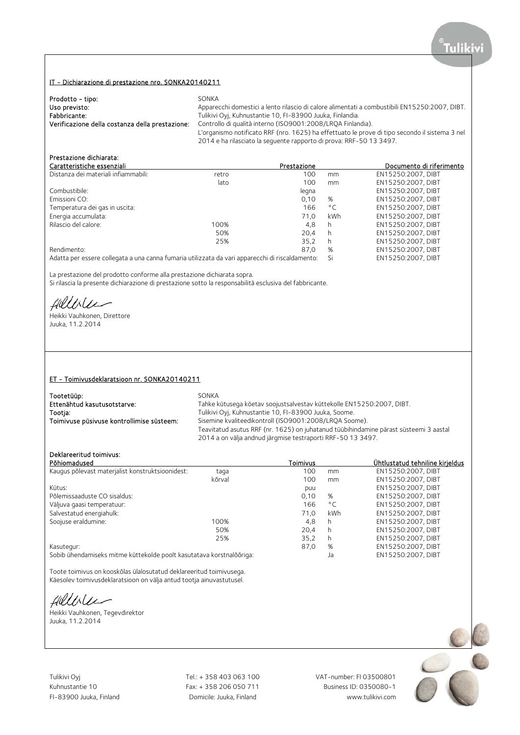## IT - Dichiarazione di prestazione nro. SONKA20140211

| Prodotto - tipo:                                | SONKA                                                                                                                                                                 |
|-------------------------------------------------|-----------------------------------------------------------------------------------------------------------------------------------------------------------------------|
| Uso previsto:                                   | Apparecchi domestici a lento rilascio di calore alimentati a combustibili EN15250:2007, DIBT.                                                                         |
| Fabbricante:                                    | Tulikivi Oyj, Kuhnustantie 10, FI-83900 Juuka, Finlandia.                                                                                                             |
| Verificazione della costanza della prestazione: | Controllo di qualità interno (ISO9001:2008/LROA Finlandia).                                                                                                           |
|                                                 | L'organismo notificato RRF (nro. 1625) ha effettuato le prove di tipo secondo il sistema 3 nel<br>2014 e ha rilasciato la sequente rapporto di prova: RRF-50 13 3497. |

# Prestazione dichiarata:

| Caratteristiche essenziali                                                                                     |       | Prestazione |              | Documento di riferimento |
|----------------------------------------------------------------------------------------------------------------|-------|-------------|--------------|--------------------------|
| Distanza dei materiali infiammabili:                                                                           | retro | 100         | mm           | EN15250:2007, DIBT       |
|                                                                                                                | lato  | 100         | mm           | EN15250:2007, DIBT       |
| Combustibile:                                                                                                  |       | legna       |              | EN15250:2007, DIBT       |
| Emissioni CO:                                                                                                  |       | 0.10        | %            | EN15250:2007. DIBT       |
| Temperatura dei gas in uscita:                                                                                 |       | 166         | $^{\circ}$ C | EN15250:2007, DIBT       |
| Energia accumulata:                                                                                            |       | 71.0        | kWh          | EN15250:2007, DIBT       |
| Rilascio del calore:                                                                                           | 100%  | 4.8         | h            | EN15250:2007, DIBT       |
|                                                                                                                | 50%   | 20.4        | h            | EN15250:2007, DIBT       |
|                                                                                                                | 25%   | 35.2        | h            | EN15250:2007, DIBT       |
| Rendimento:                                                                                                    |       | 87.0        | %            | EN15250:2007, DIBT       |
| المقصصص والمحمئين المراقص ومستصف استرزاحات المقصصانين المتسمس بالمستحدث والمستحدث والمسامح والمستحدث والمقطاري |       |             |              | FUSEDED ON THE           |

Adatta per essere collegata a una canna fumaria utilizzata da vari apparecchi di riscaldamento: Si EN15250:2007, DIBT

La prestazione del prodotto conforme alla prestazione dichiarata sopra.

Si rilascia la presente dichiarazione di prestazione sotto la responsabilità esclusiva del fabbricante.

Hillblu

Heikki Vauhkonen, Direttore Juuka, 11.2.2014

#### ET - Toimivusdeklaratsioon nr. SONKA20140211

| Tootetüüp:                                | SONKA                                                                                 |
|-------------------------------------------|---------------------------------------------------------------------------------------|
| Ettenähtud kasutusotstarve:               | Tahke kütusega köetav soojustsalvestav küttekolle EN15250:2007, DIBT.                 |
| Tootja:                                   | Tulikivi Oyi, Kuhnustantie 10, FI-83900 Juuka, Soome.                                 |
| Toimivuse püsivuse kontrollimise süsteem: | Sisemine kvaliteedikontroll (ISO9001:2008/LROA Soome).                                |
|                                           | Teavitatud asutus RRF (nr. 1625) on juhatanud tüübihindamine pärast süsteemi 3 aastal |
|                                           | 2014 a on välja andnud järgmise testraporti RRF-50 13 3497.                           |

#### Deklareeritud toimivus:

| Põhiomadused                                                         |        | Toimivus |              | Ühtlustatud tehniline kirjeldus |
|----------------------------------------------------------------------|--------|----------|--------------|---------------------------------|
| Kaugus põlevast materjalist konstruktsioonidest:                     | taga   | 100      | mm           | EN15250:2007, DIBT              |
|                                                                      | kõrval | 100      | mm           | EN15250:2007. DIBT              |
| Kütus:                                                               |        | puu      |              | EN15250:2007. DIBT              |
| Põlemissaaduste CO sisaldus:                                         |        | 0,10     | %            | EN15250:2007, DIBT              |
| Väljuva gaasi temperatuur:                                           |        | 166      | $^{\circ}$ C | EN15250:2007. DIBT              |
| Salvestatud energiahulk:                                             |        | 71.0     | kWh          | EN15250:2007, DIBT              |
| Soojuse eraldumine:                                                  | 100%   | 4,8      | h            | EN15250:2007, DIBT              |
|                                                                      | 50%    | 20.4     | h            | EN15250:2007, DIBT              |
|                                                                      | 25%    | 35.2     | h            | EN15250:2007, DIBT              |
| Kasutegur:                                                           |        | 87.0     | %            | EN15250:2007, DIBT              |
| Sobib ühendamiseks mitme küttekolde poolt kasutatava korstnalõõriga: |        |          | Ja           | EN15250:2007, DIBT              |

Toote toimivus on kooskõlas ülalosutatud deklareeritud toimivusega. Käesolev toimivusdeklaratsioon on välja antud tootja ainuvastutusel.

fillbler

Heikki Vauhkonen, Tegevdirektor Juuka, 11.2.2014

Tulikivi Oyj Tel.: + 358 403 063 100 VAT-number: FI 03500801

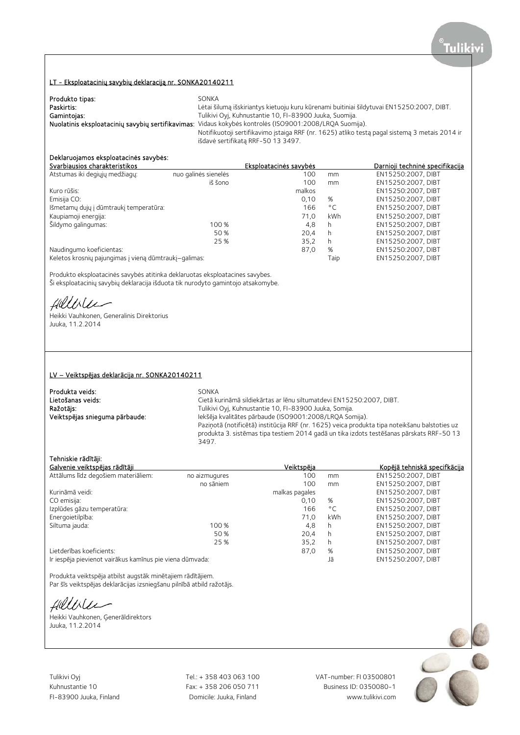## LT - Eksploatacinių savybių deklaraciją nr. SONKA20140211

| Produkto tipas: | SONKA                                                                                                   |
|-----------------|---------------------------------------------------------------------------------------------------------|
| Paskirtis:      | Lėtai šilumą išskiriantys kietuoju kuru kūrenami buitiniai šildytuvai EN15250:2007, DIBT.               |
| Gamintojas:     | Tulikivi Oyi, Kuhnustantie 10, FI-83900 Juuka, Suomija.                                                 |
|                 | Nuolatinis eksploatacinių savybių sertifikavimas: Vidaus kokybės kontrolės (ISO9001:2008/LRQA Suomija). |
|                 | Notifikuotoji sertifikavimo įstaiga RRF (nr. 1625) atliko testą pagal sistemą 3 metais 2014 ir          |
|                 | išdavė sertifikatą RRF-50 13 3497.                                                                      |

# Deklaruojamos eksploatacinės savybės:

| Svarbiausios charakteristikos                         |                      | Eksploatacinės savybės |              | <u>Darnioii techninė specifikacija</u> |
|-------------------------------------------------------|----------------------|------------------------|--------------|----------------------------------------|
| Atstumas iki degiųjų medžiagų:                        | nuo galinės sienelės | 100                    | mm           | EN15250:2007. DIBT                     |
|                                                       | iš šono              | 100                    | mm           | EN15250:2007, DIBT                     |
| Kuro rūšis:                                           |                      | malkos                 |              | EN15250:2007, DIBT                     |
| Emisija CO:                                           |                      | 0.10                   | %            | EN15250:2007, DIBT                     |
| Išmetamų dujų į dūmtraukį temperatūra:                |                      | 166                    | $^{\circ}$ C | EN15250:2007, DIBT                     |
| Kaupiamoji energija:                                  |                      | 71.0                   | kWh          | EN15250:2007, DIBT                     |
| Šildymo galingumas:                                   | 100 %                | 4,8                    | h            | EN15250:2007, DIBT                     |
|                                                       | 50 %                 | 20.4                   | h            | EN15250:2007. DIBT                     |
|                                                       | 25 %                 | 35.2                   | h            | EN15250:2007, DIBT                     |
| Naudingumo koeficientas:                              |                      | 87,0                   | %            | EN15250:2007, DIBT                     |
| Keletos krosnių pajungimas į vieną dūmtraukį-galimas: |                      |                        | Taip         | EN15250:2007, DIBT                     |

Produkto eksploatacinės savybės atitinka deklaruotas eksploatacines savybes. Ši eksploatacinių savybių deklaracija išduota tik nurodyto gamintojo atsakomybe.

Hillbler

Heikki Vauhkonen, Generalinis Direktorius Juuka, 11.2.2014

#### LV – Veiktspējas deklarācija nr. SONKA20140211

| Produkta veids:<br>Lietošanas veids: | SONKA<br>Cietā kurināmā sildiekārtas ar lēnu siltumatdevi EN15250:2007, DIBT.                 |
|--------------------------------------|-----------------------------------------------------------------------------------------------|
| Ražotājs:                            | Tulikivi Oyj, Kuhnustantie 10, FI-83900 Juuka, Somija.                                        |
| Veiktspējas snieguma pārbaude:       | Iekšēja kvalitātes pārbaude (ISO9001:2008/LRQA Somija).                                       |
|                                      | Paziņotā (notificētā) institūcija RRF (nr. 1625) veica produkta tipa noteikšanu balstoties uz |
|                                      | produkta 3. sistēmas tipa testiem 2014 gadā un tika izdots testēšanas pārskats RRF-50 13      |
|                                      | 3497.                                                                                         |

# Tehniskie rādītāji:

| Galvenie veiktspējas rādītāji                            |               | Veiktspēja     |              | Kopējā tehniskā specifkācija |
|----------------------------------------------------------|---------------|----------------|--------------|------------------------------|
| Attālums līdz degošiem materiāliem:                      | no aizmugures | 100            | mm           | EN15250:2007. DIBT           |
|                                                          | no sāniem     | 100            | mm           | EN15250:2007. DIBT           |
| Kurināmā veidi:                                          |               | malkas pagales |              | EN15250:2007, DIBT           |
| CO emisija:                                              |               | 0.10           | %            | EN15250:2007. DIBT           |
| Izplūdes gāzu temperatūra:                               |               | 166            | $^{\circ}$ C | EN15250:2007. DIBT           |
| Energoietilpība:                                         |               | 71.0           | kWh          | EN15250:2007, DIBT           |
| Siltuma jauda:                                           | 100 %         | 4.8            | h            | EN15250:2007. DIBT           |
|                                                          | 50 %          | 20.4           | h            | EN15250:2007, DIBT           |
|                                                          | 25 %          | 35,2           | h            | EN15250:2007, DIBT           |
| Lietderības koeficients:                                 |               | 87,0           | %            | EN15250:2007, DIBT           |
| Ir iespēja pievienot vairākus kamīnus pie viena dūmvada: |               |                | Jā           | EN15250:2007, DIBT           |

Produkta veiktspēja atbilst augstāk minētajiem rādītājiem.

Par šīs veiktspējas deklarācijas izsniegšanu pilnībā atbild ražotājs.

Hillble ∽

Heikki Vauhkonen, Ģenerāldirektors Juuka, 11.2.2014

Tulikivi Oyj Tel.: + 358 403 063 100 VAT-number: FI 03500801

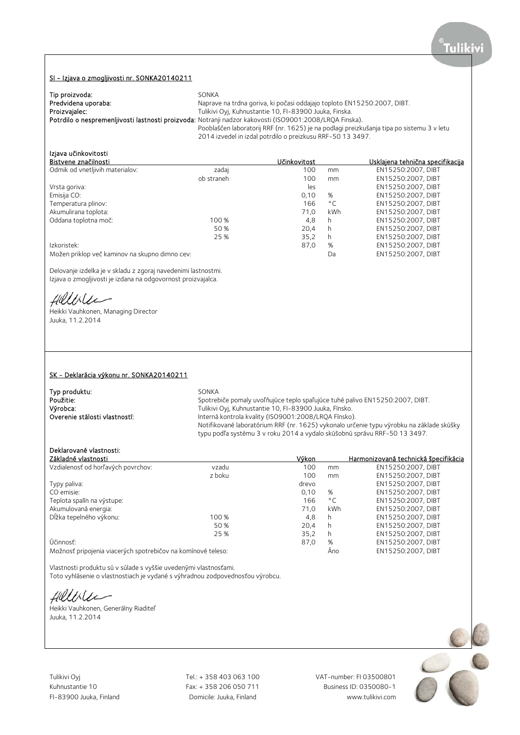#### SI - Izjava o zmogljivosti nr. SONKA20140211

| Tip proizvoda:      | SONKA                                                                                                   |
|---------------------|---------------------------------------------------------------------------------------------------------|
| Predvidena uporaba: | Naprave na trdna goriva, ki počasi oddajajo toploto EN15250:2007, DIBT.                                 |
| Proizvajalec:       | Tulikivi Oyj, Kuhnustantie 10, FI-83900 Juuka, Finska.                                                  |
|                     | Potrdilo o nespremenljivosti lastnosti proizvoda: Notranji nadzor kakovosti (ISO9001:2008/LRQA Finska). |
|                     | Pooblaščen laboratorij RRF (nr. 1625) je na podlagi preizkušanja tipa po sistemu 3 v letu               |
|                     | 2014 izvedel in izdal potrdilo o preizkusu RRF-50 13 3497.                                              |

# Izjava učinkovitosti<br>Pistvane značilnasti

| Bistvene značilnosti                           |            | Učinkovitost |              | Usklajena tehnična specifikacija |
|------------------------------------------------|------------|--------------|--------------|----------------------------------|
| Odmik od vnetljivih materialov:                | zadaj      | 100          | mm           | EN15250:2007, DIBT               |
|                                                | ob straneh | 100          | mm           | EN15250:2007, DIBT               |
| Vrsta goriva:                                  |            | les          |              | EN15250:2007, DIBT               |
| Emisija CO:                                    |            | 0.10         | %            | EN15250:2007. DIBT               |
| Temperatura plinov:                            |            | 166          | $^{\circ}$ C | EN15250:2007, DIBT               |
| Akumulirana toplota:                           |            | 71.0         | kWh          | EN15250:2007, DIBT               |
| Oddana toplotna moč:                           | 100 %      | 4,8          | h            | EN15250:2007. DIBT               |
|                                                | 50 %       | 20.4         | h.           | EN15250:2007, DIBT               |
|                                                | 25 %       | 35.2         | h.           | EN15250:2007, DIBT               |
| Izkoristek:                                    |            | 87.0         | %            | EN15250:2007. DIBT               |
| Možen priklop več kaminov na skupno dimno cev: |            |              | Da           | EN15250:2007, DIBT               |

Delovanje izdelka je v skladu z zgoraj navedenimi lastnostmi. Izjava o zmogljivosti je izdana na odgovornost proizvajalca.

Hillville

Heikki Vauhkonen, Managing Director Juuka, 11.2.2014

#### SK - Deklarácia výkonu nr. SONKA20140211

| Typ produktu:                 | SONKA                                                                                    |
|-------------------------------|------------------------------------------------------------------------------------------|
| Použitie:                     | Spotrebiče pomaly uvoľňujúce teplo spaľujúce tuhé palivo EN15250:2007, DIBT.             |
| Výrobca:                      | Tulikivi Oyi, Kuhnustantie 10, FI-83900 Juuka, Fínsko.                                   |
| Overenie stálosti vlastností: | Interná kontrola kvality (ISO9001:2008/LRQA Fínsko).                                     |
|                               | Notifikované laboratórium RRF (nr. 1625) vykonalo určenie typu výrobku na základe skúšky |
|                               | typu podľa systému 3 v roku 2014 a vydalo skúšobnú správu RRF-50 13 3497.                |

# Deklarované vlastnosti:

| Základné vlastnosti                                          |        | Výkon |              | Harmonizovaná technická špecifikácia |
|--------------------------------------------------------------|--------|-------|--------------|--------------------------------------|
| Vzdialenosť od horľavých povrchov:                           | vzadu  | 100   | mm           | EN15250:2007, DIBT                   |
|                                                              | z boku | 100   | mm           | EN15250:2007, DIBT                   |
| Typy paliva:                                                 |        | drevo |              | EN15250:2007. DIBT                   |
| CO emisie:                                                   |        | 0.10  | %            | EN15250:2007, DIBT                   |
| Teplota spalín na výstupe:                                   |        | 166   | $^{\circ}$ C | EN15250:2007. DIBT                   |
| Akumulovaná energia:                                         |        | 71.0  | kWh          | EN15250:2007, DIBT                   |
| Dĺžka tepelného výkonu:                                      | 100 %  | 4,8   | h            | EN15250:2007, DIBT                   |
|                                                              | 50 %   | 20.4  | h            | EN15250:2007. DIBT                   |
|                                                              | 25 %   | 35.2  | h.           | EN15250:2007, DIBT                   |
| Účinnosť:                                                    |        | 87,0  | %            | EN15250:2007, DIBT                   |
| Možnosť pripojenia viacerých spotrebičov na komínové teleso: |        |       | Ano          | EN15250:2007, DIBT                   |

Vlastnosti produktu sú v súlade s vyššie uvedenými vlastnosťami.

Toto vyhlásenie o vlastnostiach je vydané s výhradnou zodpovednosťou výrobcu.

Helliler

Heikki Vauhkonen, Generálny Riaditeľ Juuka, 11.2.2014



FI-83900 Juuka, Finland Domicile: Juuka, Finland www.tulikivi.com